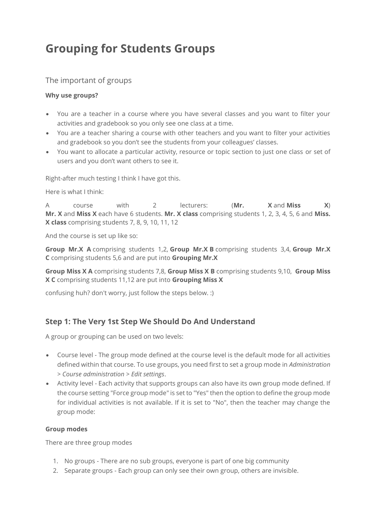# **Grouping for Students Groups**

### The important of groups

#### **Why use groups?**

- You are a teacher in a course where you have several classes and you want to filter your activities and gradebook so you only see one class at a time.
- You are a teacher sharing a course with other teachers and you want to filter your activities and gradebook so you don't see the students from your colleagues' classes.
- You want to allocate a particular activity, resource or topic section to just one class or set of users and you don't want others to see it.

Right-after much testing I think I have got this.

Here is what I think:

A course with 2 lecturers: (**Mr. X** and **Miss X**) **Mr. X** and **Miss X** each have 6 students. **Mr. X class** comprising students 1, 2, 3, 4, 5, 6 and **Miss. X class** comprising students 7, 8, 9, 10, 11, 12

And the course is set up like so:

**Group Mr.X A** comprising students 1,2, **Group Mr.X B** comprising students 3,4, **Group Mr.X C** comprising students 5,6 and are put into **Grouping Mr.X**

**Group Miss X A** comprising students 7,8, **Group Miss X B** comprising students 9,10, **Group Miss X C** comprising students 11,12 are put into **Grouping Miss X**

confusing huh? don't worry, just follow the steps below. :)

## **Step 1: The Very 1st Step We Should Do And Understand**

A group or grouping can be used on two levels:

- Course level The group mode defined at the course level is the default mode for all activities defined within that course. To use groups, you need first to set a group mode in *Administration > Course administration > Edit settings*.
- Activity level Each activity that supports groups can also have its own group mode defined. If the course setting "Force group mode" is set to "Yes" then the option to define the group mode for individual activities is not available. If it is set to "No", then the teacher may change the group mode:

#### **Group modes**

There are three group modes

- 1. No groups There are no sub groups, everyone is part of one big community
- 2. Separate groups Each group can only see their own group, others are invisible.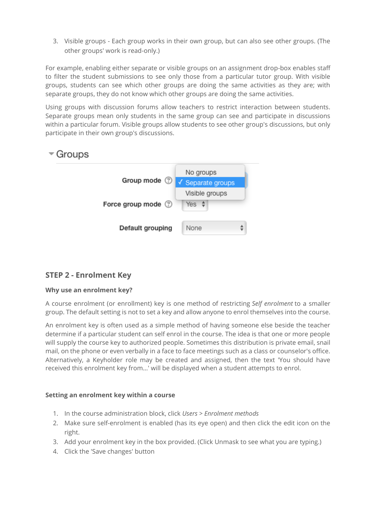3. Visible groups - Each group works in their own group, but can also see other groups. (The other groups' work is read-only.)

For example, enabling either separate or visible groups on an assignment drop-box enables staff to filter the student submissions to see only those from a particular tutor group. With visible groups, students can see which other groups are doing the same activities as they are; with separate groups, they do not know which other groups are doing the same activities.

Using groups with discussion forums allow teachers to restrict interaction between students. Separate groups mean only students in the same group can see and participate in discussions within a particular forum. Visible groups allow students to see other group's discussions, but only participate in their own group's discussions.

## $\sqrt{\ }$  Groups



## **STEP 2 - Enrolment Key**

#### **Why use an enrolment key?**

A course enrolment (or enrollment) key is one method of restricting *Self enrolment* to a smaller group. The default setting is not to set a key and allow anyone to enrol themselves into the course.

An enrolment key is often used as a simple method of having someone else beside the teacher determine if a particular student can self enrol in the course. The idea is that one or more people will supply the course key to authorized people. Sometimes this distribution is private email, snail mail, on the phone or even verbally in a face to face meetings such as a class or counselor's office. Alternatively, a Keyholder role may be created and assigned, then the text 'You should have received this enrolment key from...' will be displayed when a student attempts to enrol.

#### **Setting an enrolment key within a course**

- 1. In the course administration block, click *Users > Enrolment methods*
- 2. Make sure self-enrolment is enabled (has its eye open) and then click the edit icon on the right.
- 3. Add your enrolment key in the box provided. (Click Unmask to see what you are typing.)
- 4. Click the 'Save changes' button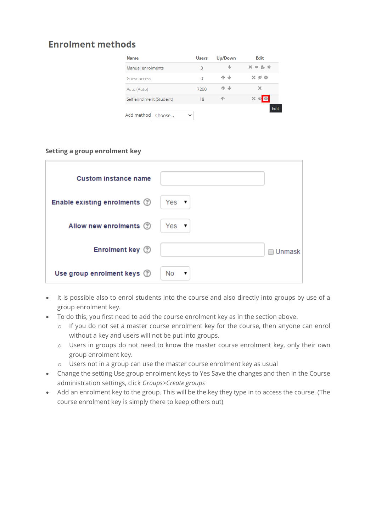## **Enrolment methods**

| <b>Name</b>              | <b>Users</b> | Up/Down | Edit                                 |
|--------------------------|--------------|---------|--------------------------------------|
| Manual enrolments        | 3            | -de-    | $X = L$ $\oplus$                     |
| Guest access             | 0            | - sle   | $\times$ $\varnothing$ $\varnothing$ |
| Auto (Auto)              | 7200         | ملك     |                                      |
| Self enrolment (Student) | 18           |         |                                      |
| Add method<br>Choose     |              |         |                                      |

#### **Setting a group enrolment key**

| <b>Custom instance name</b>  |                  |
|------------------------------|------------------|
| Enable existing enrolments 2 | Yes $\mathbf{v}$ |
| Allow new enrolments (?)     | Yes $\mathbf{v}$ |
| Enrolment key 2              | Unmask           |
| Use group enrolment keys 2   | No.<br>▼         |

- It is possible also to enrol students into the course and also directly into groups by use of a group enrolment key.
- To do this, you first need to add the course enrolment key as in the section above.
	- o If you do not set a master course enrolment key for the course, then anyone can enrol without a key and users will not be put into groups.
	- o Users in groups do not need to know the master course enrolment key, only their own group enrolment key.
	- o Users not in a group can use the master course enrolment key as usual
- Change the setting Use group enrolment keys to Yes Save the changes and then in the Course administration settings, click *Groups>Create groups*
- Add an enrolment key to the group. This will be the key they type in to access the course. (The course enrolment key is simply there to keep others out)